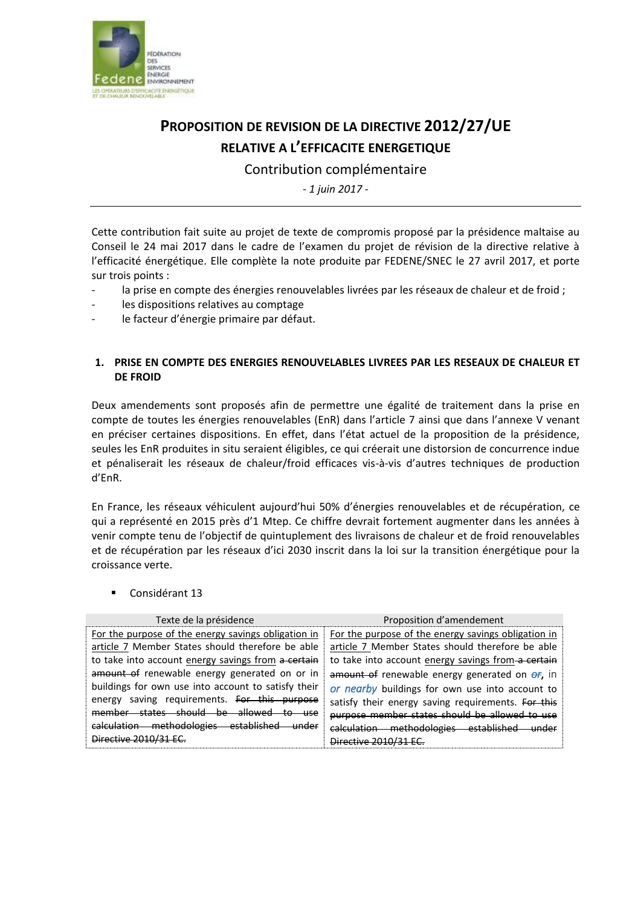

## **PROPOSITION DE REVISION DE LA DIRECTIVE 2012/27/UE RELATIVE A L'EFFICACITE ENERGETIQUE**

Contribution complémentaire

*- 1 juin 2017 -*

Cette contribution fait suite au projet de texte de compromis proposé par la présidence maltaise au Conseil le 24 mai 2017 dans le cadre de l'examen du projet de révision de la directive relative à l'efficacité énergétique. Elle complète la note produite par FEDENE/SNEC le 27 avril 2017, et porte sur trois points :

- la prise en compte des énergies renouvelables livrées par les réseaux de chaleur et de froid ;
- les dispositions relatives au comptage
- le facteur d'énergie primaire par défaut.

## **1. PRISE EN COMPTE DES ENERGIES RENOUVELABLES LIVREES PAR LES RESEAUX DE CHALEUR ET DE FROID**

Deux amendements sont proposés afin de permettre une égalité de traitement dans la prise en compte de toutes les énergies renouvelables (EnR) dans l'article 7 ainsi que dans l'annexe V venant en préciser certaines dispositions. En effet, dans l'état actuel de la proposition de la présidence, seules les EnR produites in situ seraient éligibles, ce qui créerait une distorsion de concurrence indue et pénaliserait les réseaux de chaleur/froid efficaces vis-à-vis d'autres techniques de production d'EnR.

En France, les réseaux véhiculent aujourd'hui 50% d'énergies renouvelables et de récupération, ce qui a représenté en 2015 près d'1 Mtep. Ce chiffre devrait fortement augmenter dans les années à venir compte tenu de l'objectif de quintuplement des livraisons de chaleur et de froid renouvelables et de récupération par les réseaux d'ici 2030 inscrit dans la loi sur la transition énergétique pour la croissance verte.

Considérant 13

| Texte de la présidence                                                     | Proposition d'amendement                               |
|----------------------------------------------------------------------------|--------------------------------------------------------|
| For the purpose of the energy savings obligation in                        | For the purpose of the energy savings obligation in    |
| article 7 Member States should therefore be able                           | article 7 Member States should therefore be able       |
| to take into account energy savings from a certain                         | to take into account energy savings from a certain     |
| amount of renewable energy generated on or in                              | amount of renewable energy generated on <i>of</i> , in |
| buildings for own use into account to satisfy their                        | or nearby buildings for own use into account to        |
| saving requirements. For this purpose<br>energy                            | satisfy their energy saving requirements. For this     |
| <del>be allowed</del> —<br>-should<br><u>ctatac – </u><br>memher<br>to use | purpose member states should be allowed to use         |
| calculation methodologies<br><u>established</u><br><del>under</del>        | calculation methodologies established                  |
| Directive 2010/31                                                          | Directive 2010/3                                       |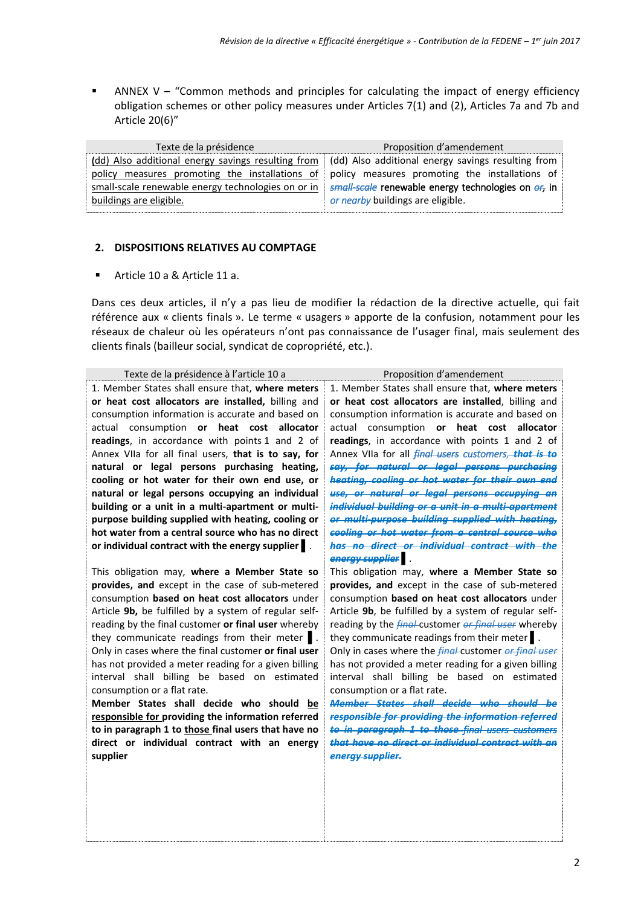ANNEX V – "Common methods and principles for calculating the impact of energy efficiency obligation schemes or other policy measures under Articles 7(1) and (2), Articles 7a and 7b and Article 20(6)"

| Texte de la présidence                                                                                                                                                                                                                                                                                                                                          | Proposition d'amendement          |
|-----------------------------------------------------------------------------------------------------------------------------------------------------------------------------------------------------------------------------------------------------------------------------------------------------------------------------------------------------------------|-----------------------------------|
| (dd) Also additional energy savings resulting from   (dd) Also additional energy savings resulting from<br>policy measures promoting the installations of policy measures promoting the installations of<br>small-scale renewable energy technologies on or in $\frac{1}{2}$ small-scale renewable energy technologies on $e_{7}$ in<br>buildings are eligible. | or nearby buildings are eligible. |

## **2. DISPOSITIONS RELATIVES AU COMPTAGE**

Article 10 a & Article 11 a.

Dans ces deux articles, il n'y a pas lieu de modifier la rédaction de la directive actuelle, qui fait référence aux « clients finals ». Le terme « usagers » apporte de la confusion, notamment pour les réseaux de chaleur où les opérateurs n'ont pas connaissance de l'usager final, mais seulement des clients finals (bailleur social, syndicat de copropriété, etc.).

| Texte de la présidence à l'article 10 a               | Proposition d'amendement                                           |
|-------------------------------------------------------|--------------------------------------------------------------------|
| 1. Member States shall ensure that, where meters      | 1. Member States shall ensure that, where meters                   |
| or heat cost allocators are installed, billing and    | or heat cost allocators are installed, billing and                 |
| consumption information is accurate and based on      | consumption information is accurate and based on                   |
| actual consumption or heat cost allocator             | actual consumption or heat cost<br>allocator                       |
| readings, in accordance with points 1 and 2 of        | readings, in accordance with points 1 and 2 of                     |
| Annex VIIa for all final users, that is to say, for   | Annex VIIa for all <i>final users customers</i> , that is to       |
| natural or legal persons purchasing heating,          | say, for natural or legal persons purchasing                       |
| cooling or hot water for their own end use, or        | heating, cooling or hot water for their own end                    |
| natural or legal persons occupying an individual      | use, or natural or legal persons occupying an                      |
| building or a unit in a multi-apartment or multi-     | individual building or a unit in a multi-apartment                 |
| purpose building supplied with heating, cooling or    | or multi-purpose building supplied with heating,                   |
| hot water from a central source who has no direct     | cooling or hot water from a central source who                     |
| or individual contract with the energy supplier       | has no direct or individual contract with the                      |
|                                                       | energy supplier .                                                  |
| This obligation may, where a Member State so          | This obligation may, where a Member State so                       |
| provides, and except in the case of sub-metered       | provides, and except in the case of sub-metered                    |
| consumption based on heat cost allocators under       | consumption based on heat cost allocators under                    |
| Article 9b, be fulfilled by a system of regular self- | Article 9b, be fulfilled by a system of regular self-              |
| reading by the final customer or final user whereby   | reading by the <i>final</i> -customer or <i>final user</i> whereby |
| they communicate readings from their meter  .         | they communicate readings from their meter.                        |
| Only in cases where the final customer or final user  | Only in cases where the <i>final</i> -customer or final user       |
| has not provided a meter reading for a given billing  | has not provided a meter reading for a given billing               |
| interval shall billing be based on estimated          | interval shall billing be based on estimated                       |
| consumption or a flat rate.                           | consumption or a flat rate.                                        |
| Member States shall decide who should<br>be           | Member States shall decide who should                              |
| responsible for providing the information referred    | responsible for providing the information referred                 |
| to in paragraph 1 to those final users that have no   | to in paragraph 1 to those final users customers                   |
| direct or individual contract with an energy          | that have no direct or individual contract with an                 |
| supplier                                              | energy supplier.                                                   |
|                                                       |                                                                    |
|                                                       |                                                                    |
|                                                       |                                                                    |
|                                                       |                                                                    |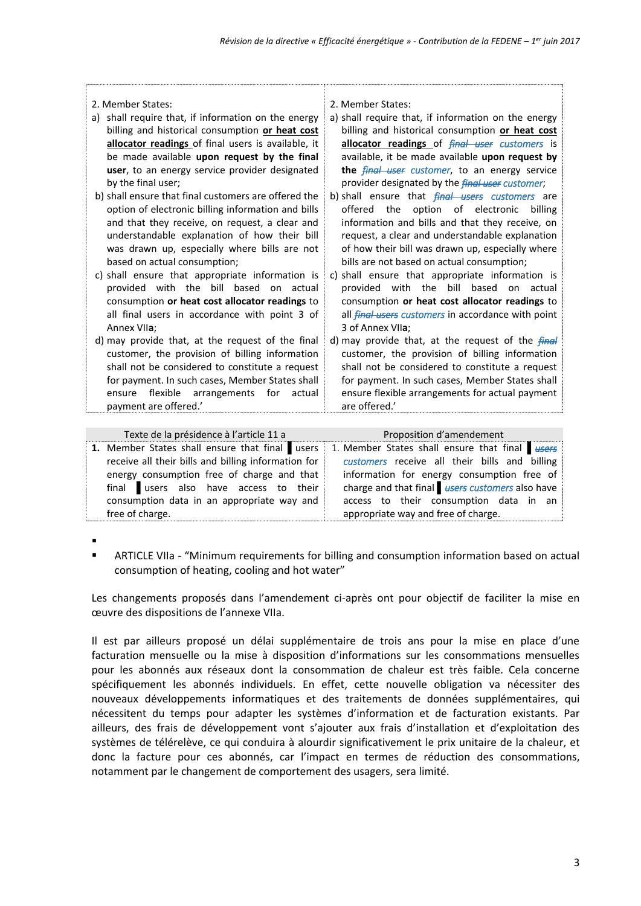| 2. Member States:                                      | 2. Member States:                                         |
|--------------------------------------------------------|-----------------------------------------------------------|
| shall require that, if information on the energy<br>a) | a) shall require that, if information on the energy       |
| billing and historical consumption or heat cost        | billing and historical consumption or heat cost           |
| allocator readings of final users is available, it     | allocator readings of <i>final user customers</i> is      |
| be made available upon request by the final            | available, it be made available upon request by           |
| user, to an energy service provider designated         | the <i>final user customer</i> , to an energy service     |
| by the final user;                                     | provider designated by the <i>final user customer</i> ;   |
| b) shall ensure that final customers are offered the   | b) shall ensure that <i>final users customers</i> are     |
| option of electronic billing information and bills     | offered the option of electronic<br>billing               |
| and that they receive, on request, a clear and         | information and bills and that they receive, on           |
| understandable explanation of how their bill           | request, a clear and understandable explanation           |
| was drawn up, especially where bills are not           | of how their bill was drawn up, especially where          |
| based on actual consumption;                           | bills are not based on actual consumption;                |
| c) shall ensure that appropriate information is        | c) shall ensure that appropriate information is           |
| provided with the bill based on actual                 | provided with the bill based on actual                    |
| consumption or heat cost allocator readings to         | consumption or heat cost allocator readings to            |
| all final users in accordance with point 3 of          | all <i>final users customers</i> in accordance with point |
| Annex VIIa:                                            | 3 of Annex VIIa;                                          |
| d) may provide that, at the request of the final       | d) may provide that, at the request of the <i>final</i>   |
| customer, the provision of billing information         | customer, the provision of billing information            |
| shall not be considered to constitute a request        | shall not be considered to constitute a request           |
| for payment. In such cases, Member States shall        | for payment. In such cases, Member States shall           |
| flexible arrangements<br>for<br>ensure<br>actual       | ensure flexible arrangements for actual payment           |
| payment are offered.'                                  | are offered.'                                             |
|                                                        |                                                           |

| Texte de la présidence à l'article 11 a             | Proposition d'amendement                        |
|-----------------------------------------------------|-------------------------------------------------|
| 1. Member States shall ensure that final users      | 1. Member States shall ensure that final users  |
| receive all their bills and billing information for | customers receive all their bills and billing   |
| energy consumption free of charge and that          | information for energy consumption free of      |
| final users also have access to their               | charge and that final users customers also have |
| consumption data in an appropriate way and          | access to their consumption data in an          |
| free of charge.                                     | appropriate way and free of charge.             |

.

 ARTICLE VIIa - "Minimum requirements for billing and consumption information based on actual consumption of heating, cooling and hot water"

Les changements proposés dans l'amendement ci-après ont pour objectif de faciliter la mise en œuvre des dispositions de l'annexe VIIa.

Il est par ailleurs proposé un délai supplémentaire de trois ans pour la mise en place d'une facturation mensuelle ou la mise à disposition d'informations sur les consommations mensuelles pour les abonnés aux réseaux dont la consommation de chaleur est très faible. Cela concerne spécifiquement les abonnés individuels. En effet, cette nouvelle obligation va nécessiter des nouveaux développements informatiques et des traitements de données supplémentaires, qui nécessitent du temps pour adapter les systèmes d'information et de facturation existants. Par ailleurs, des frais de développement vont s'ajouter aux frais d'installation et d'exploitation des systèmes de télérelève, ce qui conduira à alourdir significativement le prix unitaire de la chaleur, et donc la facture pour ces abonnés, car l'impact en termes de réduction des consommations, notamment par le changement de comportement des usagers, sera limité.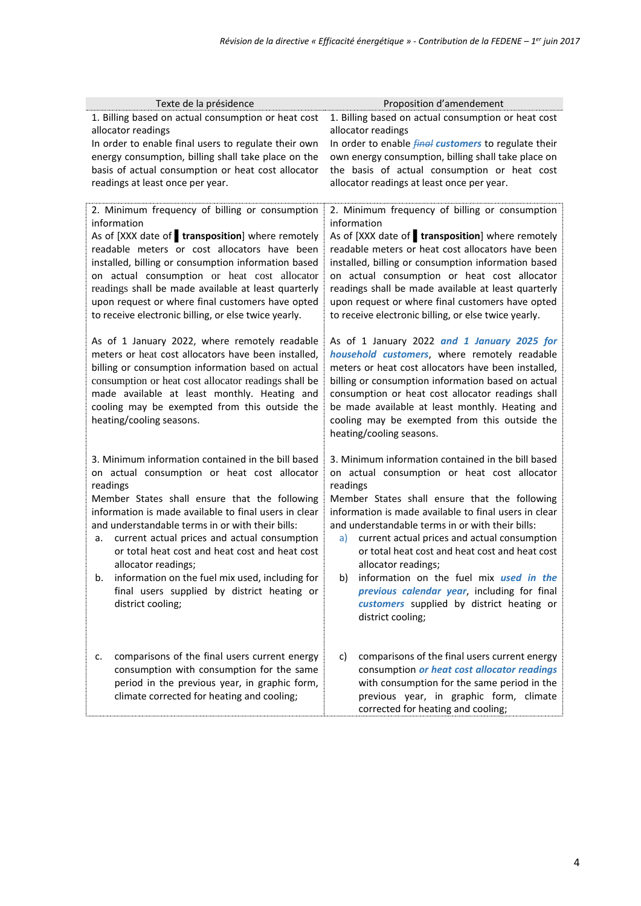| Texte de la présidence                                                                                                                                                                                                                                                                                                                                                                                                                                                                                                                   | Proposition d'amendement                                                                                                                                                                                                                                                                                                                                                                                                                                                                                                                                                          |
|------------------------------------------------------------------------------------------------------------------------------------------------------------------------------------------------------------------------------------------------------------------------------------------------------------------------------------------------------------------------------------------------------------------------------------------------------------------------------------------------------------------------------------------|-----------------------------------------------------------------------------------------------------------------------------------------------------------------------------------------------------------------------------------------------------------------------------------------------------------------------------------------------------------------------------------------------------------------------------------------------------------------------------------------------------------------------------------------------------------------------------------|
| 1. Billing based on actual consumption or heat cost                                                                                                                                                                                                                                                                                                                                                                                                                                                                                      | 1. Billing based on actual consumption or heat cost                                                                                                                                                                                                                                                                                                                                                                                                                                                                                                                               |
| allocator readings                                                                                                                                                                                                                                                                                                                                                                                                                                                                                                                       | allocator readings                                                                                                                                                                                                                                                                                                                                                                                                                                                                                                                                                                |
| In order to enable final users to regulate their own                                                                                                                                                                                                                                                                                                                                                                                                                                                                                     | In order to enable <i>final customers</i> to regulate their                                                                                                                                                                                                                                                                                                                                                                                                                                                                                                                       |
| energy consumption, billing shall take place on the                                                                                                                                                                                                                                                                                                                                                                                                                                                                                      | own energy consumption, billing shall take place on                                                                                                                                                                                                                                                                                                                                                                                                                                                                                                                               |
| basis of actual consumption or heat cost allocator                                                                                                                                                                                                                                                                                                                                                                                                                                                                                       | the basis of actual consumption or heat cost                                                                                                                                                                                                                                                                                                                                                                                                                                                                                                                                      |
| readings at least once per year.                                                                                                                                                                                                                                                                                                                                                                                                                                                                                                         | allocator readings at least once per year.                                                                                                                                                                                                                                                                                                                                                                                                                                                                                                                                        |
| 2. Minimum frequency of billing or consumption<br>information<br>As of [XXX date of <b>transposition</b> ] where remotely<br>readable meters or cost allocators have been<br>installed, billing or consumption information based<br>on actual consumption or heat cost allocator                                                                                                                                                                                                                                                         | 2. Minimum frequency of billing or consumption<br>information<br>As of [XXX date of <b>transposition</b> ] where remotely<br>readable meters or heat cost allocators have been<br>installed, billing or consumption information based<br>on actual consumption or heat cost allocator                                                                                                                                                                                                                                                                                             |
| readings shall be made available at least quarterly<br>upon request or where final customers have opted<br>to receive electronic billing, or else twice yearly.                                                                                                                                                                                                                                                                                                                                                                          | readings shall be made available at least quarterly<br>upon request or where final customers have opted<br>to receive electronic billing, or else twice yearly.                                                                                                                                                                                                                                                                                                                                                                                                                   |
| As of 1 January 2022, where remotely readable<br>meters or heat cost allocators have been installed,<br>billing or consumption information based on actual<br>consumption or heat cost allocator readings shall be<br>made available at least monthly. Heating and<br>cooling may be exempted from this outside the<br>heating/cooling seasons.                                                                                                                                                                                          | As of 1 January 2022 and 1 January 2025 for<br>household customers, where remotely readable<br>meters or heat cost allocators have been installed,<br>billing or consumption information based on actual<br>consumption or heat cost allocator readings shall<br>be made available at least monthly. Heating and<br>cooling may be exempted from this outside the<br>heating/cooling seasons.                                                                                                                                                                                     |
| 3. Minimum information contained in the bill based<br>on actual consumption or heat cost allocator<br>readings<br>Member States shall ensure that the following<br>information is made available to final users in clear<br>and understandable terms in or with their bills:<br>current actual prices and actual consumption<br>а.<br>or total heat cost and heat cost and heat cost<br>allocator readings;<br>information on the fuel mix used, including for<br>b.<br>final users supplied by district heating or<br>district cooling; | 3. Minimum information contained in the bill based<br>on actual consumption or heat cost allocator<br>readings<br>Member States shall ensure that the following<br>information is made available to final users in clear<br>and understandable terms in or with their bills:<br>current actual prices and actual consumption<br>a)<br>or total heat cost and heat cost and heat cost<br>allocator readings;<br>b) information on the fuel mix <i>used in the</i><br>previous calendar year, including for final<br>customers supplied by district heating or<br>district cooling; |
| comparisons of the final users current energy<br>c.<br>consumption with consumption for the same<br>period in the previous year, in graphic form,<br>climate corrected for heating and cooling;                                                                                                                                                                                                                                                                                                                                          | c)<br>comparisons of the final users current energy<br>consumption or heat cost allocator readings<br>with consumption for the same period in the<br>previous year, in graphic form, climate<br>corrected for heating and cooling;                                                                                                                                                                                                                                                                                                                                                |